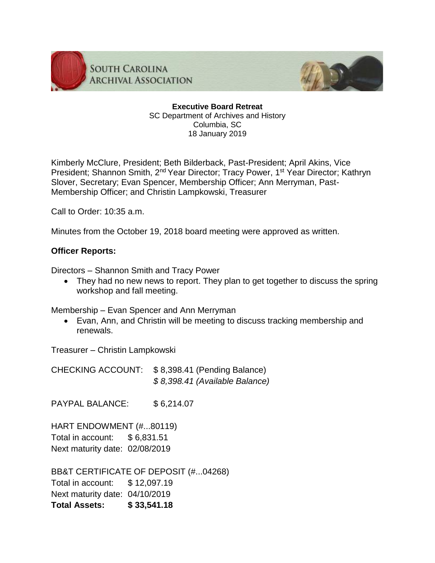

**SOUTH CAROLINA ARCHIVAL ASSOCIATION** 



**Executive Board Retreat** SC Department of Archives and History Columbia, SC 18 January 2019

Kimberly McClure, President; Beth Bilderback, Past-President; April Akins, Vice President; Shannon Smith, 2<sup>nd</sup> Year Director; Tracy Power, 1<sup>st</sup> Year Director; Kathryn Slover, Secretary; Evan Spencer, Membership Officer; Ann Merryman, Past-Membership Officer; and Christin Lampkowski, Treasurer

Call to Order: 10:35 a.m.

Minutes from the October 19, 2018 board meeting were approved as written.

#### **Officer Reports:**

Directors – Shannon Smith and Tracy Power

• They had no new news to report. They plan to get together to discuss the spring workshop and fall meeting.

Membership – Evan Spencer and Ann Merryman

 Evan, Ann, and Christin will be meeting to discuss tracking membership and renewals.

Treasurer – Christin Lampkowski

CHECKING ACCOUNT: \$ 8,398.41 (Pending Balance) *\$ 8,398.41 (Available Balance)*

PAYPAL BALANCE: \$6,214.07

HART ENDOWMENT (#...80119) Total in account: \$ 6,831.51 Next maturity date: 02/08/2019

BB&T CERTIFICATE OF DEPOSIT (#...04268) Total in account: \$ 12,097.19 Next maturity date: 04/10/2019 **Total Assets: \$ 33,541.18**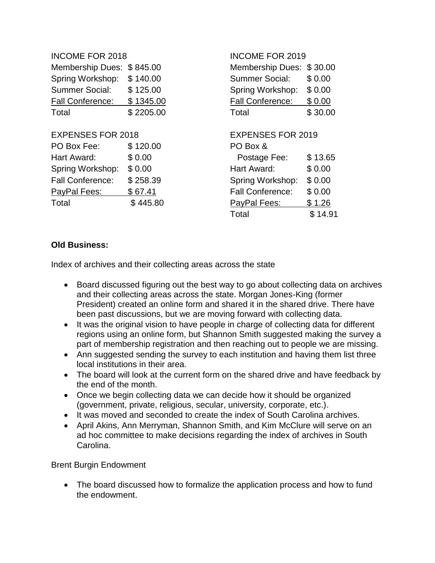| <b>INCOME FOR 2018</b>   |           |                         | <b>INCOME FOR 2019</b>   |  |
|--------------------------|-----------|-------------------------|--------------------------|--|
| <b>Membership Dues:</b>  | \$845.00  | <b>Membership Dues:</b> | \$30.00                  |  |
| Spring Workshop:         | \$140.00  | <b>Summer Social:</b>   | \$0.00                   |  |
| <b>Summer Social:</b>    | \$125.00  | Spring Workshop:        | \$0.00                   |  |
| <b>Fall Conference:</b>  | \$1345.00 | <b>Fall Conference:</b> | \$0.00                   |  |
| Total                    | \$2205.00 | Total                   | \$30.00                  |  |
| <b>EXPENSES FOR 2018</b> |           |                         | <b>EXPENSES FOR 2019</b> |  |
| PO Box Fee:              | \$120.00  | PO Box &                |                          |  |
| Hart Award:              | \$0.00    | Postage Fee:            | \$13.65                  |  |
| Spring Workshop:         | \$0.00    | Hart Award:             | \$0.00                   |  |
| <b>Fall Conference:</b>  | \$258.39  | Spring Workshop:        | \$0.00                   |  |
| PayPal Fees:             | \$67.41   | <b>Fall Conference:</b> | \$0.00                   |  |
| Total                    | \$445.80  | PayPal Fees:            | \$1.26                   |  |
|                          |           | Total                   | \$14.91                  |  |

#### **Old Business:**

Index of archives and their collecting areas across the state

- Board discussed figuring out the best way to go about collecting data on archives and their collecting areas across the state. Morgan Jones-King (former President) created an online form and shared it in the shared drive. There have been past discussions, but we are moving forward with collecting data.
- It was the original vision to have people in charge of collecting data for different regions using an online form, but Shannon Smith suggested making the survey a part of membership registration and then reaching out to people we are missing.
- Ann suggested sending the survey to each institution and having them list three local institutions in their area.
- The board will look at the current form on the shared drive and have feedback by the end of the month.
- Once we begin collecting data we can decide how it should be organized (government, private, religious, secular, university, corporate, etc.).
- It was moved and seconded to create the index of South Carolina archives.
- April Akins, Ann Merryman, Shannon Smith, and Kim McClure will serve on an ad hoc committee to make decisions regarding the index of archives in South Carolina.

Brent Burgin Endowment

• The board discussed how to formalize the application process and how to fund the endowment.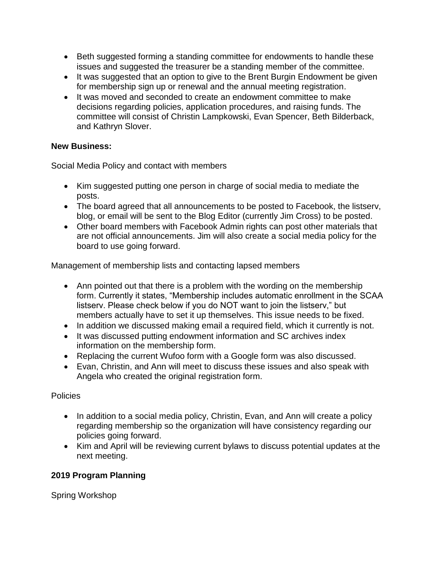- Beth suggested forming a standing committee for endowments to handle these issues and suggested the treasurer be a standing member of the committee.
- It was suggested that an option to give to the Brent Burgin Endowment be given for membership sign up or renewal and the annual meeting registration.
- It was moved and seconded to create an endowment committee to make decisions regarding policies, application procedures, and raising funds. The committee will consist of Christin Lampkowski, Evan Spencer, Beth Bilderback, and Kathryn Slover.

## **New Business:**

Social Media Policy and contact with members

- Kim suggested putting one person in charge of social media to mediate the posts.
- The board agreed that all announcements to be posted to Facebook, the listserv, blog, or email will be sent to the Blog Editor (currently Jim Cross) to be posted.
- Other board members with Facebook Admin rights can post other materials that are not official announcements. Jim will also create a social media policy for the board to use going forward.

Management of membership lists and contacting lapsed members

- Ann pointed out that there is a problem with the wording on the membership form. Currently it states, "Membership includes automatic enrollment in the SCAA listserv. Please check below if you do NOT want to join the listserv," but members actually have to set it up themselves. This issue needs to be fixed.
- In addition we discussed making email a required field, which it currently is not.
- It was discussed putting endowment information and SC archives index information on the membership form.
- Replacing the current Wufoo form with a Google form was also discussed.
- Evan, Christin, and Ann will meet to discuss these issues and also speak with Angela who created the original registration form.

## **Policies**

- In addition to a social media policy, Christin, Evan, and Ann will create a policy regarding membership so the organization will have consistency regarding our policies going forward.
- Kim and April will be reviewing current bylaws to discuss potential updates at the next meeting.

# **2019 Program Planning**

Spring Workshop